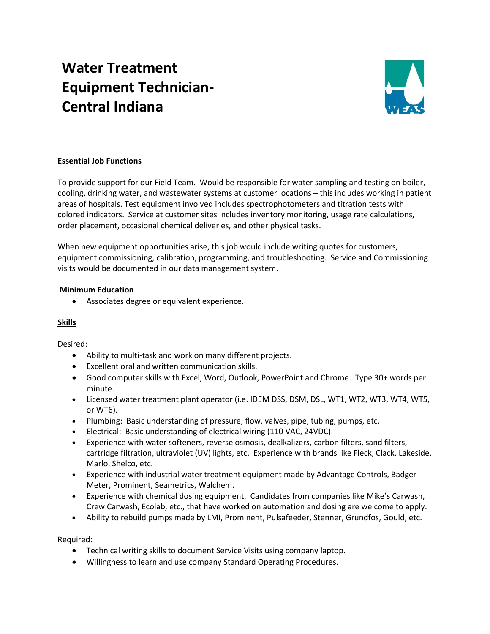# **Water Treatment Equipment Technician-Central Indiana**



## **Essential Job Functions**

To provide support for our Field Team. Would be responsible for water sampling and testing on boiler, cooling, drinking water, and wastewater systems at customer locations – this includes working in patient areas of hospitals. Test equipment involved includes spectrophotometers and titration tests with colored indicators. Service at customer sites includes inventory monitoring, usage rate calculations, order placement, occasional chemical deliveries, and other physical tasks.

When new equipment opportunities arise, this job would include writing quotes for customers, equipment commissioning, calibration, programming, and troubleshooting. Service and Commissioning visits would be documented in our data management system.

#### **Minimum Education**

• Associates degree or equivalent experience.

#### **Skills**

Desired:

- Ability to multi-task and work on many different projects.
- Excellent oral and written communication skills.
- Good computer skills with Excel, Word, Outlook, PowerPoint and Chrome. Type 30+ words per minute.
- Licensed water treatment plant operator (i.e. IDEM DSS, DSM, DSL, WT1, WT2, WT3, WT4, WT5, or WT6).
- Plumbing: Basic understanding of pressure, flow, valves, pipe, tubing, pumps, etc.
- Electrical: Basic understanding of electrical wiring (110 VAC, 24VDC).
- Experience with water softeners, reverse osmosis, dealkalizers, carbon filters, sand filters, cartridge filtration, ultraviolet (UV) lights, etc. Experience with brands like Fleck, Clack, Lakeside, Marlo, Shelco, etc.
- Experience with industrial water treatment equipment made by Advantage Controls, Badger Meter, Prominent, Seametrics, Walchem.
- Experience with chemical dosing equipment. Candidates from companies like Mike's Carwash, Crew Carwash, Ecolab, etc., that have worked on automation and dosing are welcome to apply.
- Ability to rebuild pumps made by LMI, Prominent, Pulsafeeder, Stenner, Grundfos, Gould, etc.

Required:

- Technical writing skills to document Service Visits using company laptop.
- Willingness to learn and use company Standard Operating Procedures.